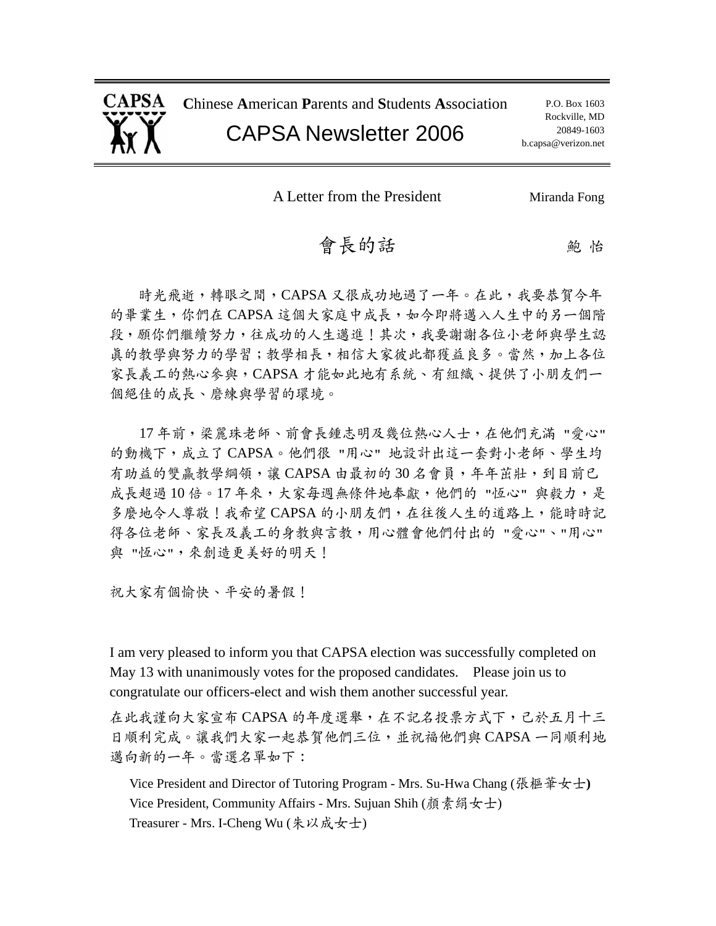

**C**hinese **A**merican **P**arents and **S**tudents **A**ssociation

### CAPSA Newsletter 2006

A Letter from the President Miranda Fong

### 會長的話 2000

時光飛逝,轉眼之間, CAPSA 又很成功地過了一年。在此,我要恭賀今年 的畢業生,你們在 CAPSA 這個大家庭中成長,如今即將邁入人生中的另一個階 段,願你們繼續努力,往成功的人生邁進!其次,我要謝謝各位小老師與學生認 真的教學與努力的學習;教學相長,相信大家彼此都獲益良多。當然,加上各位 家長義工的熱心參與,CAPSA 才能如此地有系統、有組織、提供了小朋友們一 個絕佳的成長、磨練與學習的環境。

17 年前,梁麗珠老師、前會長鍾志明及幾位熱心人士,在他們充滿 "愛心" 的動機下,成立了 CAPSA。他們很 "用心" 地設計出這一套對小老師、學生均 有助益的雙贏教學綱領,讓 CAPSA 由最初的30名會員,年年茁壯,到目前已 成長超過10倍。17年來,大家每週無條件地奉獻,他們的"恆心"與毅力,是 多麼地令人尊敬!我希望 CAPSA 的小朋友們,在往後人生的道路上,能時時記 得各位老師、家長及義工的身教與言教,用心體會他們付出的 "愛心"、"用心" 與 "恆心",來創造更美好的明天!

祝大家有個愉快、平安的暑假!

I am very pleased to inform you that CAPSA election was successfully completed on May 13 with unanimously votes for the proposed candidates. Please join us to congratulate our officers-elect and wish them another successful year.

在此我謹向大家宣布 CAPSA 的年度選舉,在不記名投票方式下,己於五月十三 日順利完成。讓我們大家一起恭賀他們三位,並祝福他們與 CAPSA 一同順利地 邁向新的一年。當選名單如下:

Vice President and Director of Tutoring Program - Mrs. Su-Hwa Chang (張樞華女士**)**  Vice President, Community Affairs - Mrs. Sujuan Shih (顏素絹女士) Treasurer - Mrs. I-Cheng Wu (朱以成女士)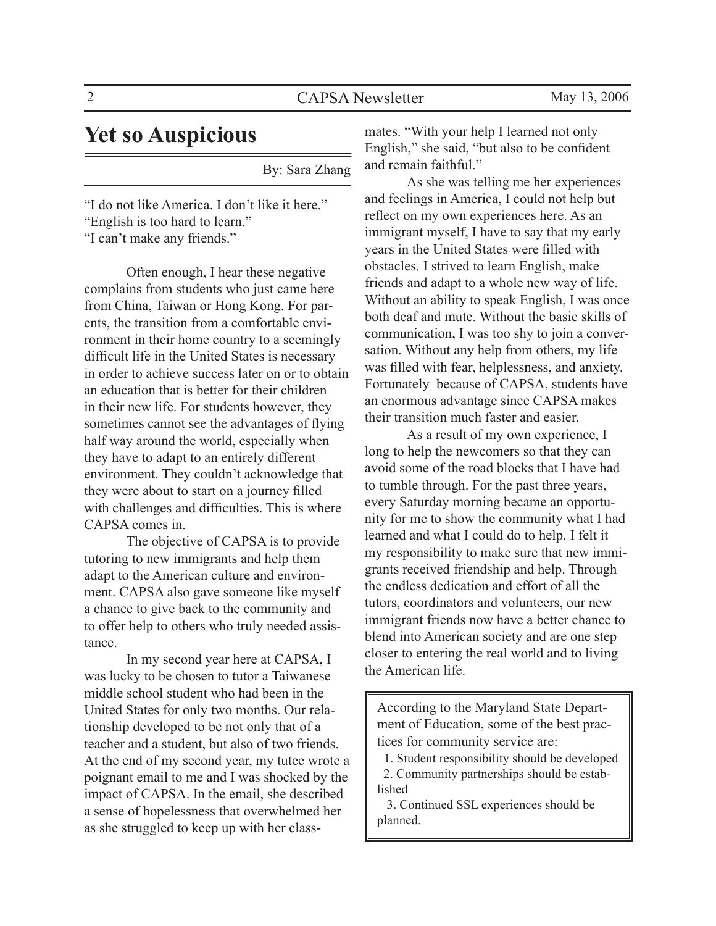### **Yet so Auspicious**

By: Sara Zhang

"I do not like America. I don't like it here." "English is too hard to learn." "I can't make any friends."

 Often enough, I hear these negative complains from students who just came here from China, Taiwan or Hong Kong. For parents, the transition from a comfortable environment in their home country to a seemingly difficult life in the United States is necessary in order to achieve success later on or to obtain an education that is better for their children in their new life. For students however, they sometimes cannot see the advantages of flying half way around the world, especially when they have to adapt to an entirely different environment. They couldn't acknowledge that they were about to start on a journey filled with challenges and difficulties. This is where CAPSA comes in.

 The objective of CAPSA is to provide tutoring to new immigrants and help them adapt to the American culture and environment. CAPSA also gave someone like myself a chance to give back to the community and to offer help to others who truly needed assistance.

 In my second year here at CAPSA, I was lucky to be chosen to tutor a Taiwanese middle school student who had been in the United States for only two months. Our relationship developed to be not only that of a teacher and a student, but also of two friends. At the end of my second year, my tutee wrote a poignant email to me and I was shocked by the impact of CAPSA. In the email, she described a sense of hopelessness that overwhelmed her as she struggled to keep up with her classmates. "With your help I learned not only English," she said, "but also to be confident and remain faithful."

 As she was telling me her experiences and feelings in America, I could not help but reflect on my own experiences here. As an immigrant myself, I have to say that my early years in the United States were filled with obstacles. I strived to learn English, make friends and adapt to a whole new way of life. Without an ability to speak English, I was once both deaf and mute. Without the basic skills of communication, I was too shy to join a conversation. Without any help from others, my life was filled with fear, helplessness, and anxiety. Fortunately because of CAPSA, students have an enormous advantage since CAPSA makes their transition much faster and easier.

 As a result of my own experience, I long to help the newcomers so that they can avoid some of the road blocks that I have had to tumble through. For the past three years, every Saturday morning became an opportunity for me to show the community what I had learned and what I could do to help. I felt it my responsibility to make sure that new immigrants received friendship and help. Through the endless dedication and effort of all the tutors, coordinators and volunteers, our new immigrant friends now have a better chance to blend into American society and are one step closer to entering the real world and to living the American life.

According to the Maryland State Department of Education, some of the best practices for community service are:

 1. Student responsibility should be developed 2. Community partnerships should be established

 3. Continued SSL experiences should be planned.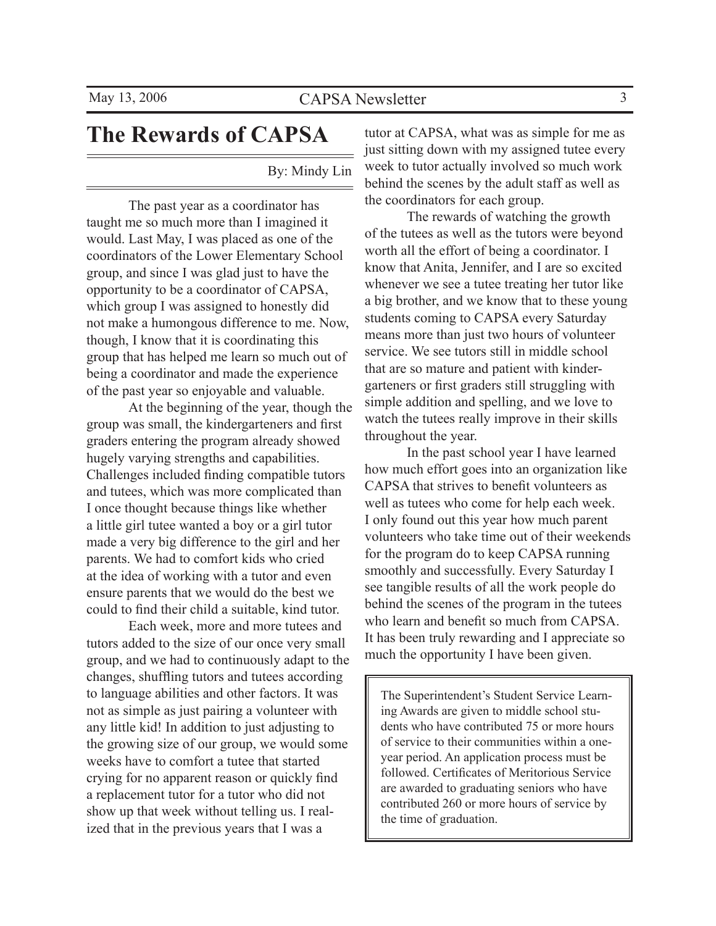# **The Rewards of CAPSA**

By: Mindy Lin

 The past year as a coordinator has taught me so much more than I imagined it would. Last May, I was placed as one of the coordinators of the Lower Elementary School group, and since I was glad just to have the opportunity to be a coordinator of CAPSA, which group I was assigned to honestly did not make a humongous difference to me. Now, though, I know that it is coordinating this group that has helped me learn so much out of being a coordinator and made the experience of the past year so enjoyable and valuable.

 At the beginning of the year, though the group was small, the kindergarteners and first graders entering the program already showed hugely varying strengths and capabilities. Challenges included finding compatible tutors and tutees, which was more complicated than I once thought because things like whether a little girl tutee wanted a boy or a girl tutor made a very big difference to the girl and her parents. We had to comfort kids who cried at the idea of working with a tutor and even ensure parents that we would do the best we could to find their child a suitable, kind tutor.

 Each week, more and more tutees and tutors added to the size of our once very small group, and we had to continuously adapt to the changes, shuffling tutors and tutees according to language abilities and other factors. It was not as simple as just pairing a volunteer with any little kid! In addition to just adjusting to the growing size of our group, we would some weeks have to comfort a tutee that started crying for no apparent reason or quickly find a replacement tutor for a tutor who did not show up that week without telling us. I realized that in the previous years that I was a

tutor at CAPSA, what was as simple for me as just sitting down with my assigned tutee every week to tutor actually involved so much work behind the scenes by the adult staff as well as the coordinators for each group.

 The rewards of watching the growth of the tutees as well as the tutors were beyond worth all the effort of being a coordinator. I know that Anita, Jennifer, and I are so excited whenever we see a tutee treating her tutor like a big brother, and we know that to these young students coming to CAPSA every Saturday means more than just two hours of volunteer service. We see tutors still in middle school that are so mature and patient with kindergarteners or first graders still struggling with simple addition and spelling, and we love to watch the tutees really improve in their skills throughout the year.

 In the past school year I have learned how much effort goes into an organization like CAPSA that strives to benefit volunteers as well as tutees who come for help each week. I only found out this year how much parent volunteers who take time out of their weekends for the program do to keep CAPSA running smoothly and successfully. Every Saturday I see tangible results of all the work people do behind the scenes of the program in the tutees who learn and benefit so much from CAPSA It has been truly rewarding and I appreciate so much the opportunity I have been given.

The Superintendent's Student Service Learning Awards are given to middle school students who have contributed 75 or more hours of service to their communities within a oneyear period. An application process must be followed. Certificates of Meritorious Service are awarded to graduating seniors who have contributed 260 or more hours of service by the time of graduation.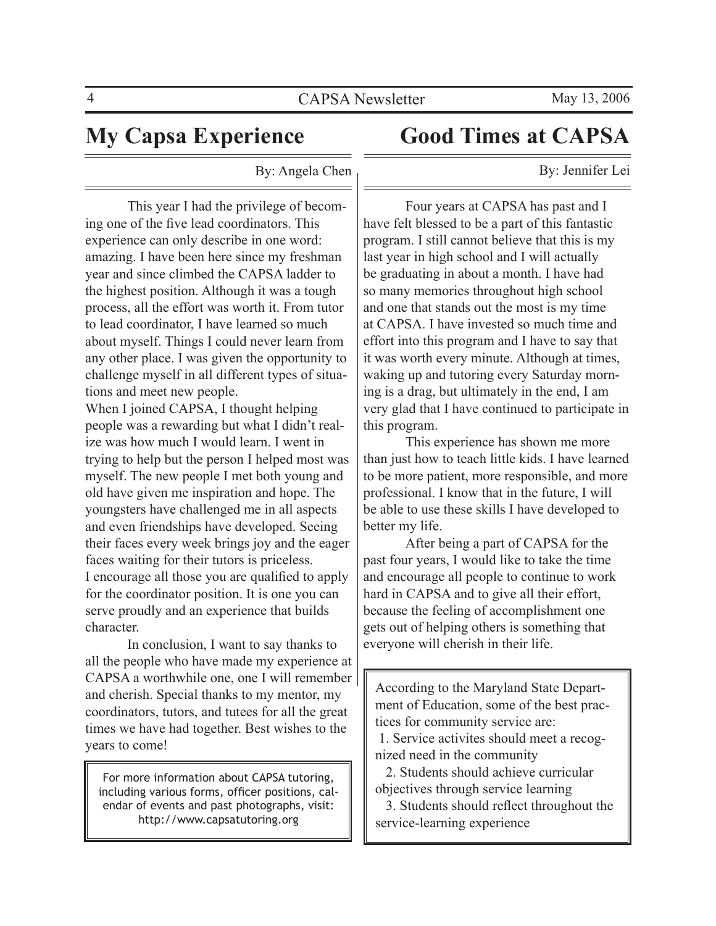$\overline{a}$ 

# **My Capsa Experience**

# **Good Times at CAPSA**

By: Jennifer Lei

By: Angela Chen

 This year I had the privilege of becoming one of the five lead coordinators. This experience can only describe in one word: amazing. I have been here since my freshman year and since climbed the CAPSA ladder to the highest position. Although it was a tough process, all the effort was worth it. From tutor to lead coordinator, I have learned so much about myself. Things I could never learn from any other place. I was given the opportunity to challenge myself in all different types of situations and meet new people.

When I joined CAPSA, I thought helping people was a rewarding but what I didn't realize was how much I would learn. I went in trying to help but the person I helped most was myself. The new people I met both young and old have given me inspiration and hope. The youngsters have challenged me in all aspects and even friendships have developed. Seeing their faces every week brings joy and the eager faces waiting for their tutors is priceless. I encourage all those you are qualified to apply for the coordinator position. It is one you can serve proudly and an experience that builds character.

 In conclusion, I want to say thanks to all the people who have made my experience at CAPSA a worthwhile one, one I will remember and cherish. Special thanks to my mentor, my coordinators, tutors, and tutees for all the great times we have had together. Best wishes to the years to come!

For more information about CAPSA tutoring, including various forms, officer positions, calendar of events and past photographs, visit: http://www.capsatutoring.org

 Four years at CAPSA has past and I have felt blessed to be a part of this fantastic program. I still cannot believe that this is my last year in high school and I will actually be graduating in about a month. I have had so many memories throughout high school and one that stands out the most is my time at CAPSA. I have invested so much time and effort into this program and I have to say that it was worth every minute. Although at times, waking up and tutoring every Saturday morning is a drag, but ultimately in the end, I am very glad that I have continued to participate in this program.

 This experience has shown me more than just how to teach little kids. I have learned to be more patient, more responsible, and more professional. I know that in the future, I will be able to use these skills I have developed to better my life.

 After being a part of CAPSA for the past four years, I would like to take the time and encourage all people to continue to work hard in CAPSA and to give all their effort, because the feeling of accomplishment one gets out of helping others is something that everyone will cherish in their life.

According to the Maryland State Department of Education, some of the best practices for community service are:

 1. Service activites should meet a recognized need in the community

 2. Students should achieve curricular objectives through service learning

 3. Students should reflect throughout the service-learning experience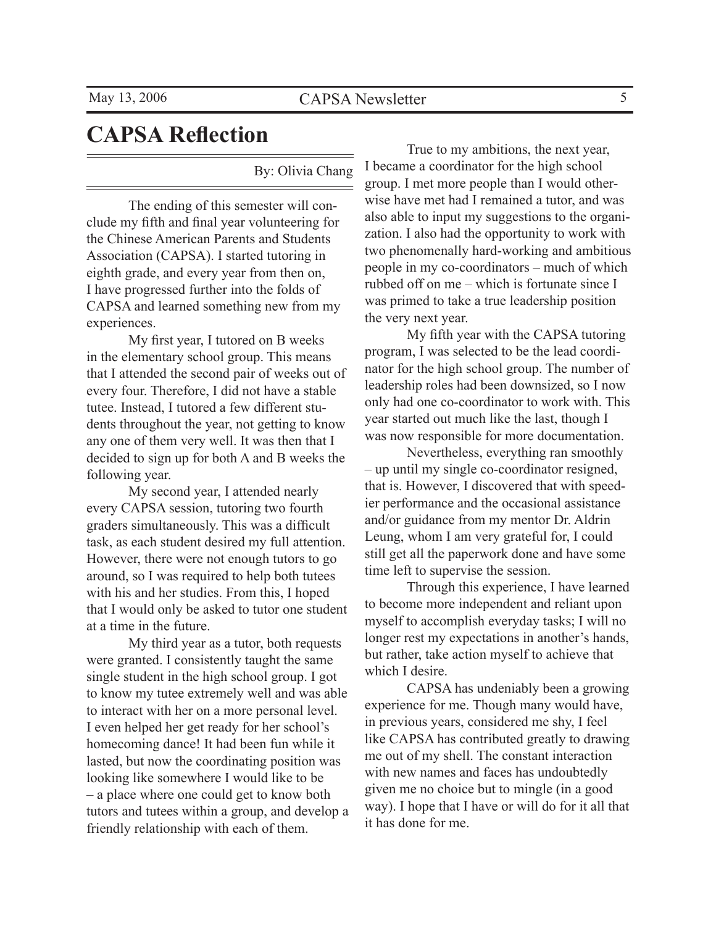# **CAPSA Reflection**

By: Olivia Chang

 The ending of this semester will conclude my fifth and final year volunteering for the Chinese American Parents and Students Association (CAPSA). I started tutoring in eighth grade, and every year from then on, I have progressed further into the folds of CAPSA and learned something new from my experiences.

 My first year, I tutored on B weeks in the elementary school group. This means that I attended the second pair of weeks out of every four. Therefore, I did not have a stable tutee. Instead, I tutored a few different students throughout the year, not getting to know any one of them very well. It was then that I decided to sign up for both A and B weeks the following year.

 My second year, I attended nearly every CAPSA session, tutoring two fourth graders simultaneously. This was a difficult task, as each student desired my full attention. However, there were not enough tutors to go around, so I was required to help both tutees with his and her studies. From this, I hoped that I would only be asked to tutor one student at a time in the future.

 My third year as a tutor, both requests were granted. I consistently taught the same single student in the high school group. I got to know my tutee extremely well and was able to interact with her on a more personal level. I even helped her get ready for her school's homecoming dance! It had been fun while it lasted, but now the coordinating position was looking like somewhere I would like to be – a place where one could get to know both tutors and tutees within a group, and develop a friendly relationship with each of them.

 True to my ambitions, the next year, I became a coordinator for the high school group. I met more people than I would otherwise have met had I remained a tutor, and was also able to input my suggestions to the organization. I also had the opportunity to work with two phenomenally hard-working and ambitious people in my co-coordinators – much of which rubbed off on me – which is fortunate since I was primed to take a true leadership position the very next year.

 My fifth year with the CAPSA tutoring program, I was selected to be the lead coordinator for the high school group. The number of leadership roles had been downsized, so I now only had one co-coordinator to work with. This year started out much like the last, though I was now responsible for more documentation.

 Nevertheless, everything ran smoothly – up until my single co-coordinator resigned, that is. However, I discovered that with speedier performance and the occasional assistance and/or guidance from my mentor Dr. Aldrin Leung, whom I am very grateful for, I could still get all the paperwork done and have some time left to supervise the session.

 Through this experience, I have learned to become more independent and reliant upon myself to accomplish everyday tasks; I will no longer rest my expectations in another's hands, but rather, take action myself to achieve that which I desire.

 CAPSA has undeniably been a growing experience for me. Though many would have, in previous years, considered me shy, I feel like CAPSA has contributed greatly to drawing me out of my shell. The constant interaction with new names and faces has undoubtedly given me no choice but to mingle (in a good way). I hope that I have or will do for it all that it has done for me.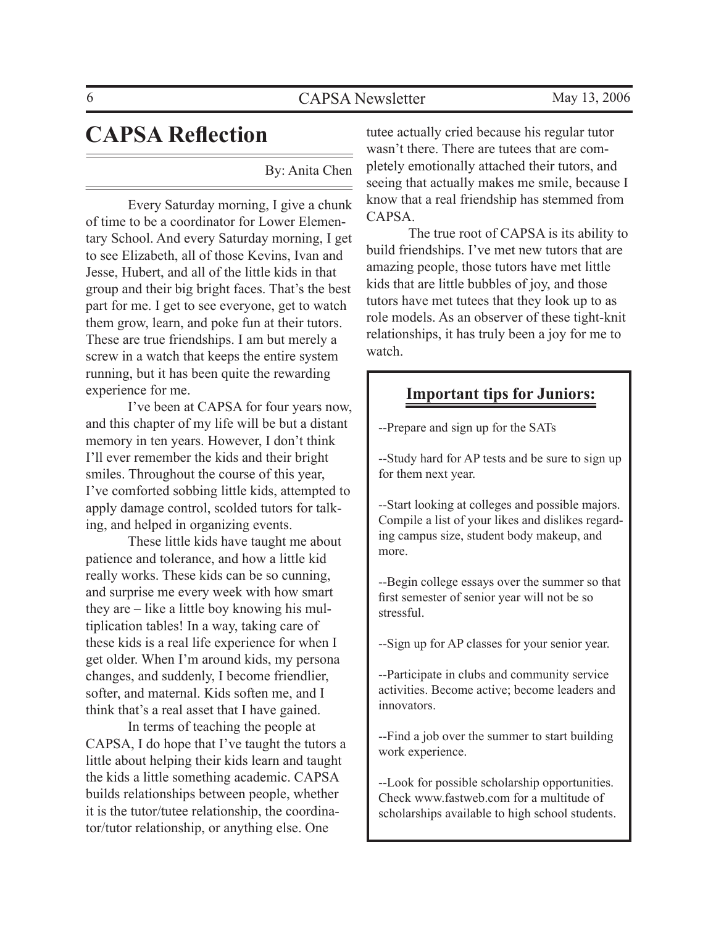# **CAPSA Reflection**

By: Anita Chen

 Every Saturday morning, I give a chunk of time to be a coordinator for Lower Elementary School. And every Saturday morning, I get to see Elizabeth, all of those Kevins, Ivan and Jesse, Hubert, and all of the little kids in that group and their big bright faces. That's the best part for me. I get to see everyone, get to watch them grow, learn, and poke fun at their tutors. These are true friendships. I am but merely a screw in a watch that keeps the entire system running, but it has been quite the rewarding experience for me.

 I've been at CAPSA for four years now, and this chapter of my life will be but a distant memory in ten years. However, I don't think I'll ever remember the kids and their bright smiles. Throughout the course of this year, I've comforted sobbing little kids, attempted to apply damage control, scolded tutors for talking, and helped in organizing events.

 These little kids have taught me about patience and tolerance, and how a little kid really works. These kids can be so cunning, and surprise me every week with how smart they are – like a little boy knowing his multiplication tables! In a way, taking care of these kids is a real life experience for when I get older. When I'm around kids, my persona changes, and suddenly, I become friendlier, softer, and maternal. Kids soften me, and I think that's a real asset that I have gained.

 In terms of teaching the people at CAPSA, I do hope that I've taught the tutors a little about helping their kids learn and taught the kids a little something academic. CAPSA builds relationships between people, whether it is the tutor/tutee relationship, the coordinator/tutor relationship, or anything else. One

tutee actually cried because his regular tutor wasn't there. There are tutees that are completely emotionally attached their tutors, and seeing that actually makes me smile, because I know that a real friendship has stemmed from CAPSA.

 The true root of CAPSA is its ability to build friendships. I've met new tutors that are amazing people, those tutors have met little kids that are little bubbles of joy, and those tutors have met tutees that they look up to as role models. As an observer of these tight-knit relationships, it has truly been a joy for me to watch.

### **Important tips for Juniors:**

--Prepare and sign up for the SATs

--Study hard for AP tests and be sure to sign up for them next year.

--Start looking at colleges and possible majors. Compile a list of your likes and dislikes regarding campus size, student body makeup, and more.

--Begin college essays over the summer so that first semester of senior year will not be so stressful.

--Sign up for AP classes for your senior year.

--Participate in clubs and community service activities. Become active; become leaders and innovators.

--Find a job over the summer to start building work experience.

--Look for possible scholarship opportunities. Check www.fastweb.com for a multitude of scholarships available to high school students.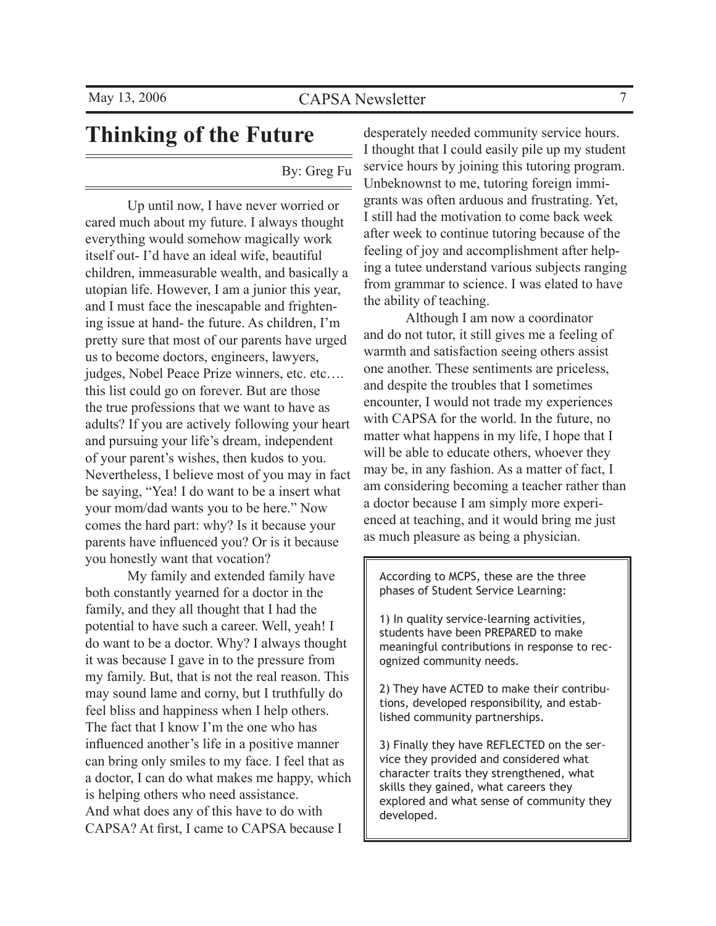# **Thinking of the Future**

### By: Greg Fu

 Up until now, I have never worried or cared much about my future. I always thought everything would somehow magically work itself out- I'd have an ideal wife, beautiful children, immeasurable wealth, and basically a utopian life. However, I am a junior this year, and I must face the inescapable and frightening issue at hand- the future. As children, I'm pretty sure that most of our parents have urged us to become doctors, engineers, lawyers, judges, Nobel Peace Prize winners, etc. etc…. this list could go on forever. But are those the true professions that we want to have as adults? If you are actively following your heart and pursuing your life's dream, independent of your parent's wishes, then kudos to you. Nevertheless, I believe most of you may in fact be saying, "Yea! I do want to be a insert what your mom/dad wants you to be here." Now comes the hard part: why? Is it because your parents have influenced you? Or is it because you honestly want that vocation?

 My family and extended family have both constantly yearned for a doctor in the family, and they all thought that I had the potential to have such a career. Well, yeah! I do want to be a doctor. Why? I always thought it was because I gave in to the pressure from my family. But, that is not the real reason. This may sound lame and corny, but I truthfully do feel bliss and happiness when I help others. The fact that I know I'm the one who has influenced another's life in a positive manner can bring only smiles to my face. I feel that as a doctor, I can do what makes me happy, which is helping others who need assistance. And what does any of this have to do with CAPSA? At first, I came to CAPSA because I

desperately needed community service hours. I thought that I could easily pile up my student service hours by joining this tutoring program. Unbeknownst to me, tutoring foreign immigrants was often arduous and frustrating. Yet, I still had the motivation to come back week after week to continue tutoring because of the feeling of joy and accomplishment after helping a tutee understand various subjects ranging from grammar to science. I was elated to have the ability of teaching.

 Although I am now a coordinator and do not tutor, it still gives me a feeling of warmth and satisfaction seeing others assist one another. These sentiments are priceless, and despite the troubles that I sometimes encounter, I would not trade my experiences with CAPSA for the world. In the future, no matter what happens in my life, I hope that I will be able to educate others, whoever they may be, in any fashion. As a matter of fact, I am considering becoming a teacher rather than a doctor because I am simply more experienced at teaching, and it would bring me just as much pleasure as being a physician.

According to MCPS, these are the three phases of Student Service Learning:

1) In quality service-learning activities, students have been PREPARED to make meaningful contributions in response to recognized community needs.

2) They have ACTED to make their contributions, developed responsibility, and established community partnerships.

3) Finally they have REFLECTED on the service they provided and considered what character traits they strengthened, what skills they gained, what careers they explored and what sense of community they developed.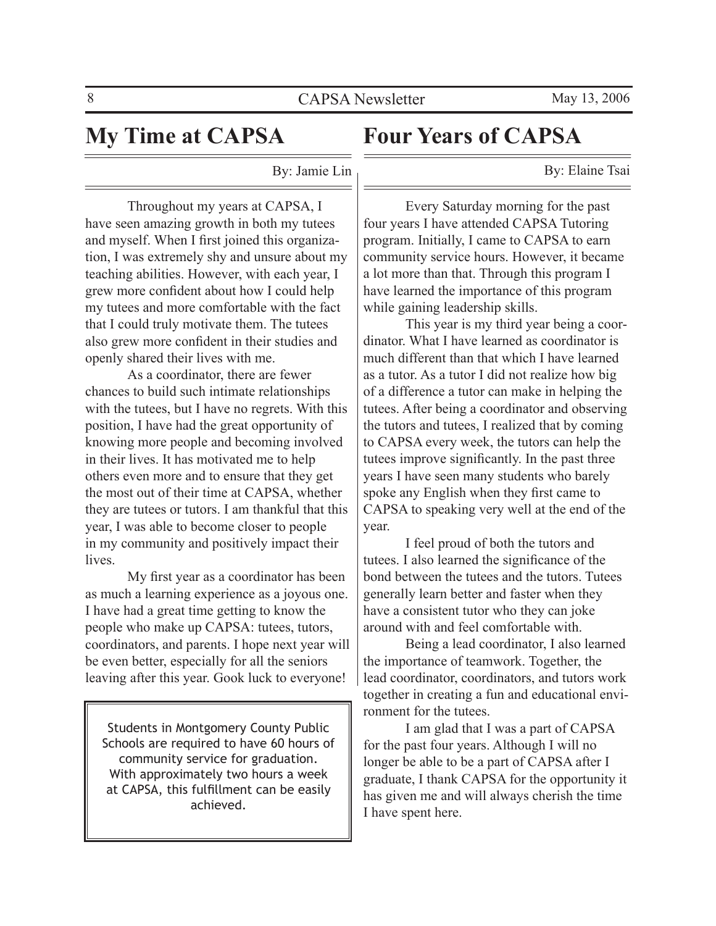# **My Time at CAPSA**

# **Four Years of CAPSA**

By: Elaine Tsai

By: Jamie Lin

 Throughout my years at CAPSA, I have seen amazing growth in both my tutees and myself. When I first joined this organization, I was extremely shy and unsure about my teaching abilities. However, with each year, I grew more confident about how I could help my tutees and more comfortable with the fact that I could truly motivate them. The tutees also grew more confident in their studies and openly shared their lives with me.

 As a coordinator, there are fewer chances to build such intimate relationships with the tutees, but I have no regrets. With this position, I have had the great opportunity of knowing more people and becoming involved in their lives. It has motivated me to help others even more and to ensure that they get the most out of their time at CAPSA, whether they are tutees or tutors. I am thankful that this year, I was able to become closer to people in my community and positively impact their lives.

 My first year as a coordinator has been as much a learning experience as a joyous one. I have had a great time getting to know the people who make up CAPSA: tutees, tutors, coordinators, and parents. I hope next year will be even better, especially for all the seniors leaving after this year. Gook luck to everyone!

Students in Montgomery County Public Schools are required to have 60 hours of community service for graduation. With approximately two hours a week at CAPSA, this fulfillment can be easily achieved.

 Every Saturday morning for the past four years I have attended CAPSA Tutoring program. Initially, I came to CAPSA to earn community service hours. However, it became a lot more than that. Through this program I have learned the importance of this program while gaining leadership skills.

 This year is my third year being a coordinator. What I have learned as coordinator is much different than that which I have learned as a tutor. As a tutor I did not realize how big of a difference a tutor can make in helping the tutees. After being a coordinator and observing the tutors and tutees, I realized that by coming to CAPSA every week, the tutors can help the tutees improve significantly. In the past three years I have seen many students who barely spoke any English when they first came to CAPSA to speaking very well at the end of the year.

 I feel proud of both the tutors and tutees. I also learned the significance of the bond between the tutees and the tutors. Tutees generally learn better and faster when they have a consistent tutor who they can joke around with and feel comfortable with.

 Being a lead coordinator, I also learned the importance of teamwork. Together, the lead coordinator, coordinators, and tutors work together in creating a fun and educational environment for the tutees.

 I am glad that I was a part of CAPSA for the past four years. Although I will no longer be able to be a part of CAPSA after I graduate, I thank CAPSA for the opportunity it has given me and will always cherish the time I have spent here.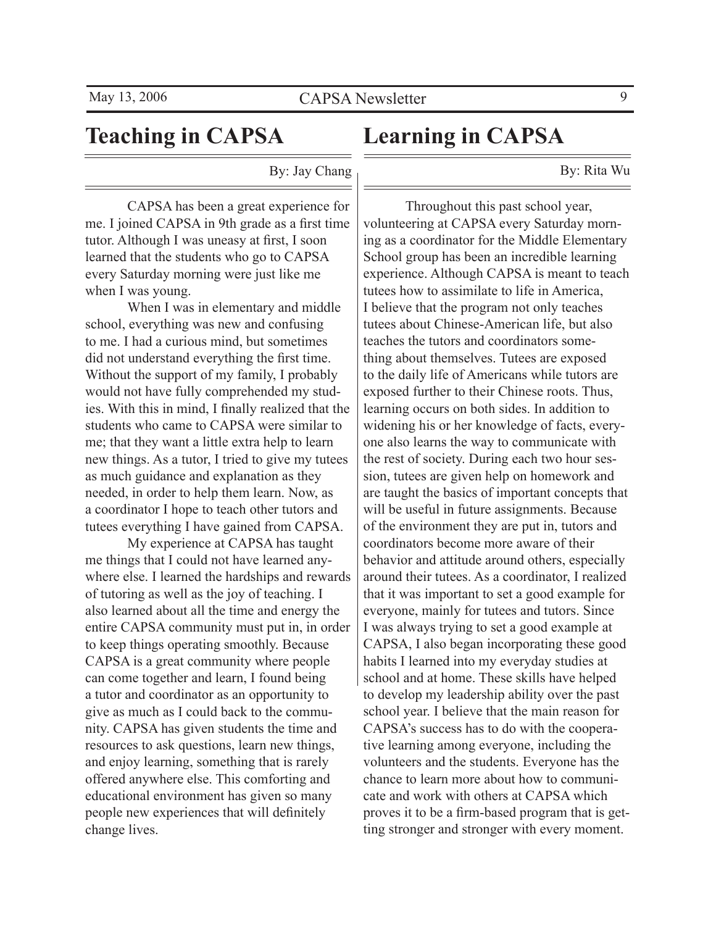# **Teaching in CAPSA**

# **Learning in CAPSA**

By: Rita Wu

By: Jay Chang

 CAPSA has been a great experience for me. I joined CAPSA in 9th grade as a first time tutor. Although I was uneasy at first, I soon learned that the students who go to CAPSA every Saturday morning were just like me when I was young.

 When I was in elementary and middle school, everything was new and confusing to me. I had a curious mind, but sometimes did not understand everything the first time. Without the support of my family, I probably would not have fully comprehended my studies. With this in mind, I finally realized that the students who came to CAPSA were similar to me; that they want a little extra help to learn new things. As a tutor, I tried to give my tutees as much guidance and explanation as they needed, in order to help them learn. Now, as a coordinator I hope to teach other tutors and tutees everything I have gained from CAPSA.

 My experience at CAPSA has taught me things that I could not have learned anywhere else. I learned the hardships and rewards of tutoring as well as the joy of teaching. I also learned about all the time and energy the entire CAPSA community must put in, in order to keep things operating smoothly. Because CAPSA is a great community where people can come together and learn, I found being a tutor and coordinator as an opportunity to give as much as I could back to the community. CAPSA has given students the time and resources to ask questions, learn new things, and enjoy learning, something that is rarely offered anywhere else. This comforting and educational environment has given so many people new experiences that will definitely change lives.

 Throughout this past school year, volunteering at CAPSA every Saturday morning as a coordinator for the Middle Elementary School group has been an incredible learning experience. Although CAPSA is meant to teach tutees how to assimilate to life in America, I believe that the program not only teaches tutees about Chinese-American life, but also teaches the tutors and coordinators something about themselves. Tutees are exposed to the daily life of Americans while tutors are exposed further to their Chinese roots. Thus, learning occurs on both sides. In addition to widening his or her knowledge of facts, everyone also learns the way to communicate with the rest of society. During each two hour session, tutees are given help on homework and are taught the basics of important concepts that will be useful in future assignments. Because of the environment they are put in, tutors and coordinators become more aware of their behavior and attitude around others, especially around their tutees. As a coordinator, I realized that it was important to set a good example for everyone, mainly for tutees and tutors. Since I was always trying to set a good example at CAPSA, I also began incorporating these good habits I learned into my everyday studies at school and at home. These skills have helped to develop my leadership ability over the past school year. I believe that the main reason for CAPSA's success has to do with the cooperative learning among everyone, including the volunteers and the students. Everyone has the chance to learn more about how to communicate and work with others at CAPSA which proves it to be a firm-based program that is getting stronger and stronger with every moment.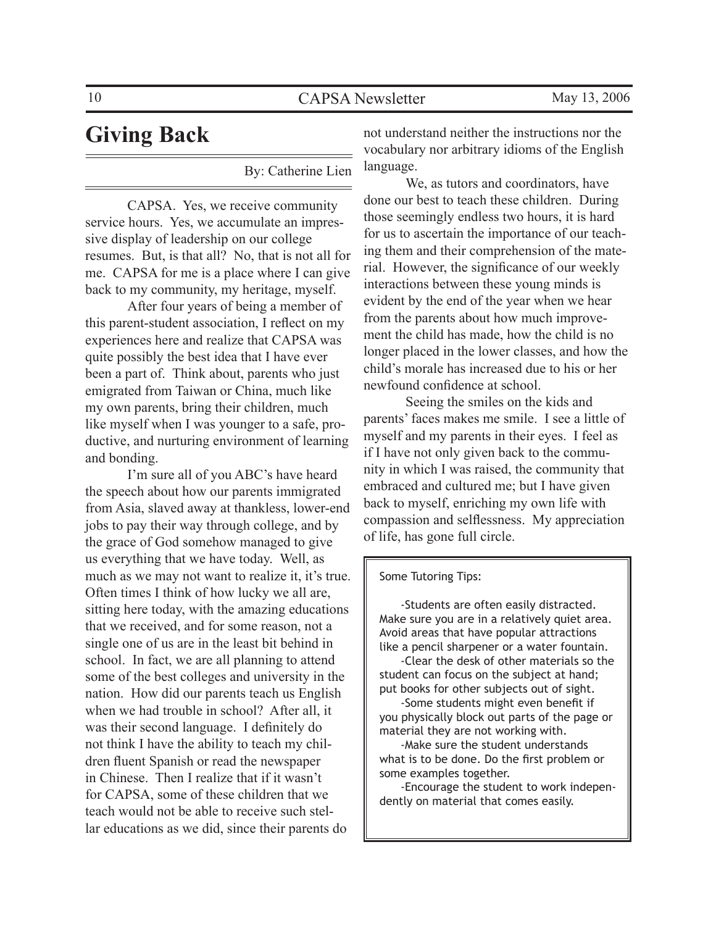# **Giving Back**

By: Catherine Lien

 CAPSA. Yes, we receive community service hours. Yes, we accumulate an impressive display of leadership on our college resumes. But, is that all? No, that is not all for me. CAPSA for me is a place where I can give back to my community, my heritage, myself.

 After four years of being a member of this parent-student association, I reflect on my experiences here and realize that CAPSA was quite possibly the best idea that I have ever been a part of. Think about, parents who just emigrated from Taiwan or China, much like my own parents, bring their children, much like myself when I was younger to a safe, productive, and nurturing environment of learning and bonding.

 I'm sure all of you ABC's have heard the speech about how our parents immigrated from Asia, slaved away at thankless, lower-end jobs to pay their way through college, and by the grace of God somehow managed to give us everything that we have today. Well, as much as we may not want to realize it, it's true. Often times I think of how lucky we all are, sitting here today, with the amazing educations that we received, and for some reason, not a single one of us are in the least bit behind in school. In fact, we are all planning to attend some of the best colleges and university in the nation. How did our parents teach us English when we had trouble in school? After all, it was their second language. I definitely do not think I have the ability to teach my children fluent Spanish or read the newspaper in Chinese. Then I realize that if it wasn't for CAPSA, some of these children that we teach would not be able to receive such stellar educations as we did, since their parents do

not understand neither the instructions nor the vocabulary nor arbitrary idioms of the English language.

 We, as tutors and coordinators, have done our best to teach these children. During those seemingly endless two hours, it is hard for us to ascertain the importance of our teaching them and their comprehension of the material. However, the significance of our weekly interactions between these young minds is evident by the end of the year when we hear from the parents about how much improvement the child has made, how the child is no longer placed in the lower classes, and how the child's morale has increased due to his or her newfound confidence at school.

 Seeing the smiles on the kids and parents' faces makes me smile. I see a little of myself and my parents in their eyes. I feel as if I have not only given back to the community in which I was raised, the community that embraced and cultured me; but I have given back to myself, enriching my own life with compassion and selflessness. My appreciation of life, has gone full circle.

#### Some Tutoring Tips:

 -Students are often easily distracted. Make sure you are in a relatively quiet area. Avoid areas that have popular attractions like a pencil sharpener or a water fountain.

 -Clear the desk of other materials so the student can focus on the subject at hand; put books for other subjects out of sight.

 -Some students might even benefit if you physically block out parts of the page or material they are not working with.

 -Make sure the student understands what is to be done. Do the first problem or some examples together.

 -Encourage the student to work independently on material that comes easily.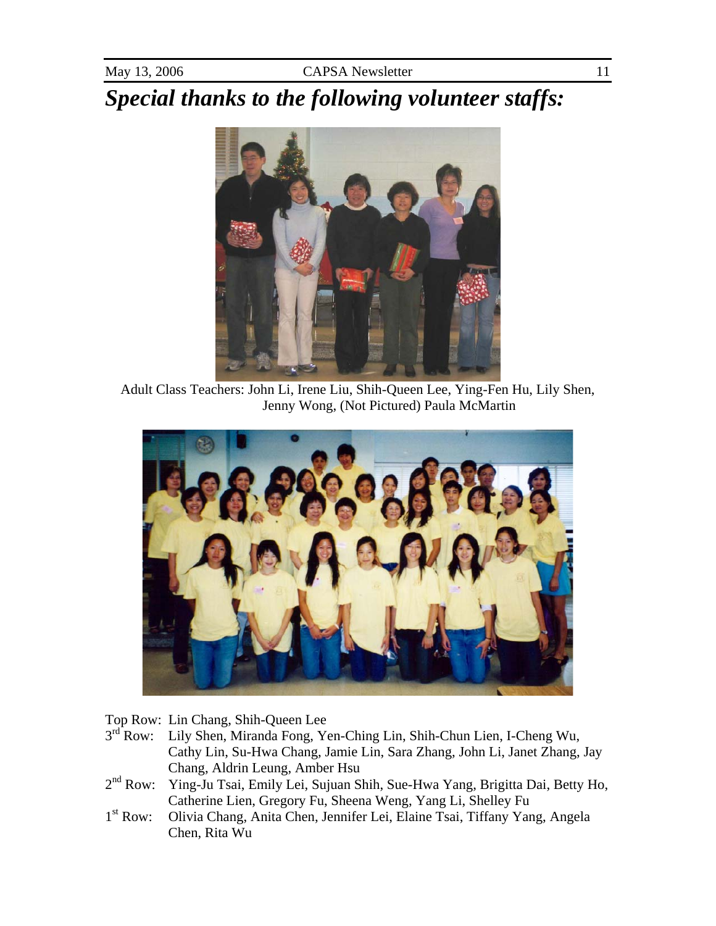*Special thanks to the following volunteer staffs:* 



Adult Class Teachers: John Li, Irene Liu, Shih-Queen Lee, Ying-Fen Hu, Lily Shen, Jenny Wong, (Not Pictured) Paula McMartin



Top Row: Lin Chang, Shih-Queen Lee<br>3<sup>rd</sup> Row: Lily Shen, Miranda Fong, Yo

- Lily Shen, Miranda Fong, Yen-Ching Lin, Shih-Chun Lien, I-Cheng Wu, Cathy Lin, Su-Hwa Chang, Jamie Lin, Sara Zhang, John Li, Janet Zhang, Jay Chang, Aldrin Leung, Amber Hsu
- 2nd Row: Ying-Ju Tsai, Emily Lei, Sujuan Shih, Sue-Hwa Yang, Brigitta Dai, Betty Ho, Catherine Lien, Gregory Fu, Sheena Weng, Yang Li, Shelley Fu
- 1st Row: Olivia Chang, Anita Chen, Jennifer Lei, Elaine Tsai, Tiffany Yang, Angela Chen, Rita Wu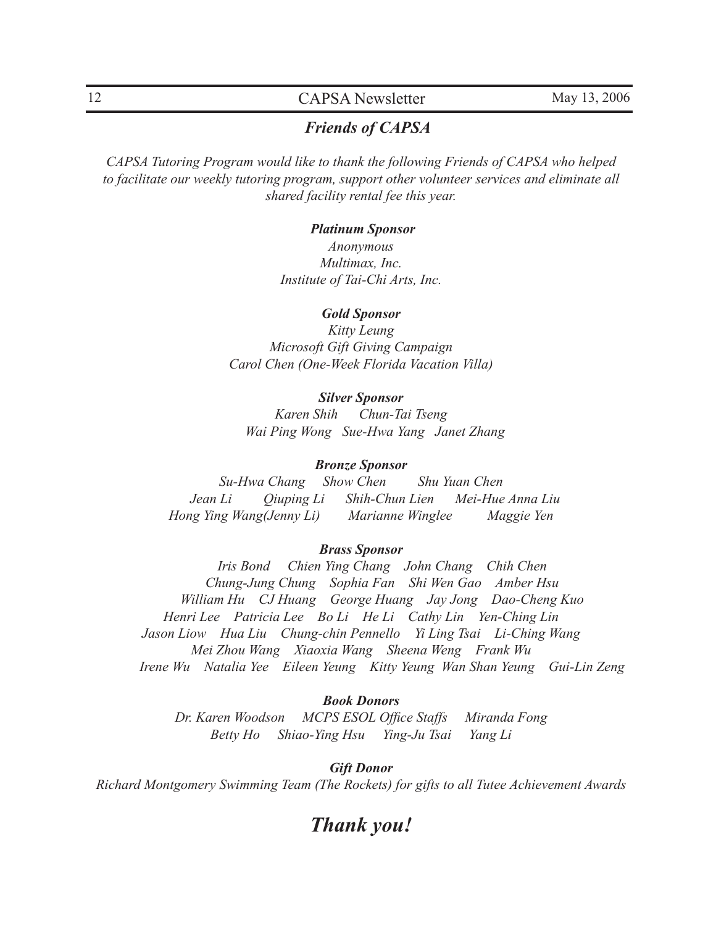### 12 CAPSA Newsletter May 13, 2006

### *Friends of CAPSA*

*CAPSA Tutoring Program would like to thank the following Friends of CAPSA who helped to facilitate our weekly tutoring program, support other volunteer services and eliminate all shared facility rental fee this year.*

#### *Platinum Sponsor*

*Anonymous Multimax, Inc. Institute of Tai-Chi Arts, Inc.*

#### *Gold Sponsor*

*Kitty Leung Microsoft Gift Giving Campaign Carol Chen (One-Week Florida Vacation Villa)*

#### *Silver Sponsor*

*Karen Shih Chun-Tai Tseng Wai Ping Wong Sue-Hwa Yang Janet Zhang*

#### *Bronze Sponsor*

*Su-Hwa Chang Show Chen Shu Yuan Chen Jean Li Qiuping Li Shih-Chun Lien Mei-Hue Anna Liu Hong Ying Wang(Jenny Li) Marianne Winglee Maggie Yen*

#### *Brass Sponsor*

*Iris Bond Chien Ying Chang John Chang Chih Chen Chung-Jung Chung Sophia Fan Shi Wen Gao Amber Hsu William Hu CJ Huang George Huang Jay Jong Dao-Cheng Kuo Henri Lee Patricia Lee Bo Li He Li Cathy Lin Yen-Ching Lin Jason Liow Hua Liu Chung-chin Pennello Yi Ling Tsai Li-Ching Wang Mei Zhou Wang Xiaoxia Wang Sheena Weng Frank Wu Irene Wu Natalia Yee Eileen Yeung Kitty Yeung Wan Shan Yeung Gui-Lin Zeng*

#### *Book Donors*

*Dr. Karen Woodson MCPS ESOL Office Staffs Miranda Fong Betty Ho Shiao-Ying Hsu Ying-Ju Tsai Yang Li*

*Gift Donor*

*Richard Montgomery Swimming Team (The Rockets) for gifts to all Tutee Achievement Awards*

### *Thank you!*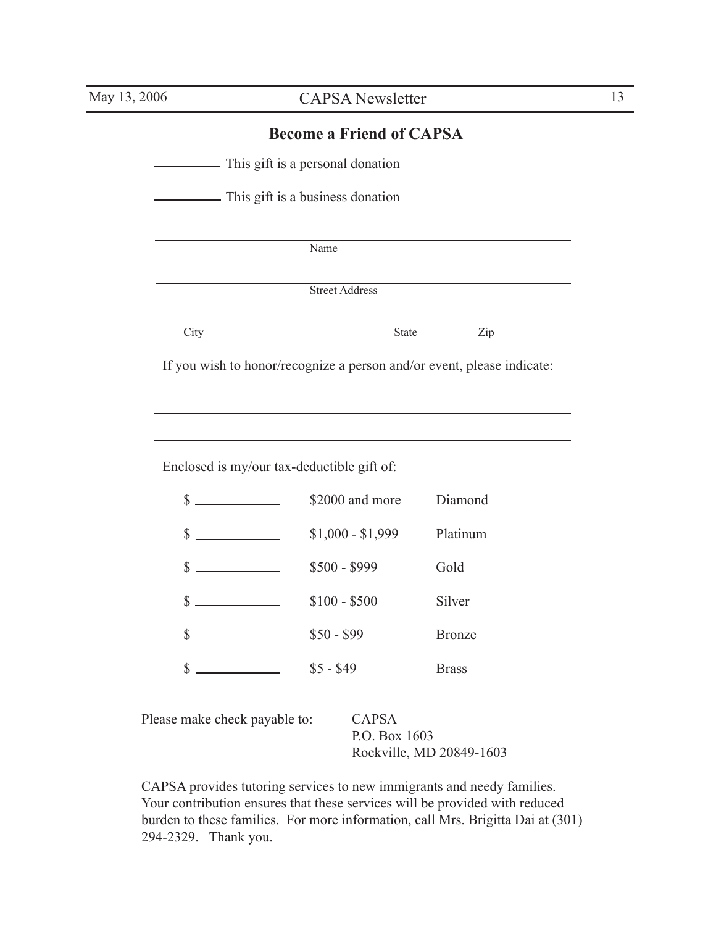### **Become a Friend of CAPSA**

This gift is a personal donation

This gift is a business donation

Name

Street Address

| ×<br>v<br>× |  |
|-------------|--|

City **State** Zip

If you wish to honor/recognize a person and/or event, please indicate:

Enclosed is my/our tax-deductible gift of:

| \$                                      | \$2000 and more   | Diamond       |
|-----------------------------------------|-------------------|---------------|
| \$<br><u> Alexandria (m. 1858)</u>      | $$1,000 - $1,999$ | Platinum      |
| \$<br>and the state of the state of the | \$500 - \$999     | Gold          |
| \$                                      | $$100 - $500$     | Silver        |
| \$                                      | $$50 - $99$       | <b>Bronze</b> |
| \$                                      | $$5 - $49$        | <b>Brass</b>  |

| Please make check payable to: | CAPSA                    |
|-------------------------------|--------------------------|
|                               | P.O. Box 1603            |
|                               | Rockville, MD 20849-1603 |

CAPSA provides tutoring services to new immigrants and needy families. Your contribution ensures that these services will be provided with reduced burden to these families. For more information, call Mrs. Brigitta Dai at (301) 294-2329. Thank you.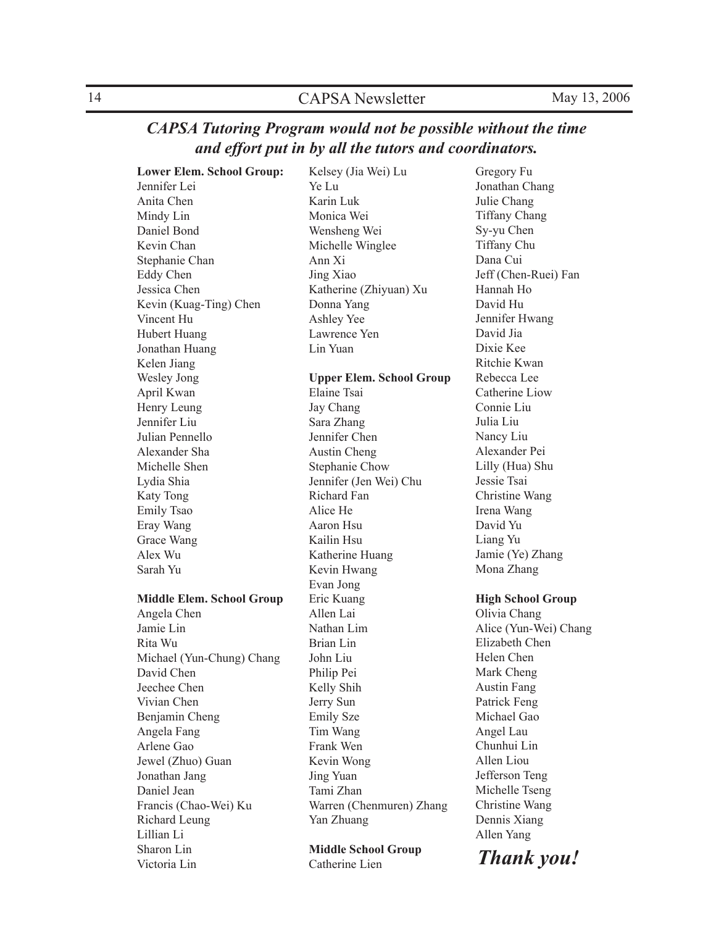### *CAPSA Tutoring Program would not be possible without the time and effort put in by all the tutors and coordinators.*

**Lower Elem. School Group:**

Jennifer Lei Anita Chen Mindy Lin Daniel Bond Kevin Chan Stephanie Chan Eddy Chen Jessica Chen Kevin (Kuag-Ting) Chen Vincent Hu Hubert Huang Jonathan Huang Kelen Jiang Wesley Jong April Kwan Henry Leung Jennifer Liu Julian Pennello Alexander Sha Michelle Shen Lydia Shia Katy Tong Emily Tsao Eray Wang Grace Wang Alex Wu Sarah Yu **Middle Elem. School Group** Angela Chen Jamie Lin

Rita Wu Michael (Yun-Chung) Chang David Chen Jeechee Chen Vivian Chen Benjamin Cheng Angela Fang Arlene Gao Jewel (Zhuo) Guan Jonathan Jang Daniel Jean Francis (Chao-Wei) Ku Richard Leung Lillian Li Sharon Lin Victoria Lin

Kelsey (Jia Wei) Lu Ye Lu Karin Luk Monica Wei Wensheng Wei Michelle Winglee Ann Xi Jing Xiao Katherine (Zhiyuan) Xu Donna Yang Ashley Yee Lawrence Yen Lin Yuan **Upper Elem. School Group** Elaine Tsai Jay Chang Sara Zhang Jennifer Chen Austin Cheng Stephanie Chow Jennifer (Jen Wei) Chu Richard Fan Alice He Aaron Hsu Kailin Hsu Katherine Huang Kevin Hwang Evan Jong Eric Kuang Allen Lai Nathan Lim Brian Lin John Liu Philip Pei Kelly Shih Jerry Sun Emily Sze Tim Wang Frank Wen Kevin Wong Jing Yuan Tami Zhan Warren (Chenmuren) Zhang Yan Zhuang

**Middle School Group** Catherine Lien

Gregory Fu Jonathan Chang Julie Chang Tiffany Chang Sy-yu Chen Tiffany Chu Dana Cui Jeff (Chen-Ruei) Fan Hannah Ho David Hu Jennifer Hwang David Jia Dixie Kee Ritchie Kwan Rebecca Lee Catherine Liow Connie Liu Julia Liu Nancy Liu Alexander Pei Lilly (Hua) Shu Jessie Tsai Christine Wang Irena Wang David Yu Liang Yu Jamie (Ye) Zhang Mona Zhang

#### **High School Group**

Olivia Chang Alice (Yun-Wei) Chang Elizabeth Chen Helen Chen Mark Cheng Austin Fang Patrick Feng Michael Gao Angel Lau Chunhui Lin Allen Liou Jefferson Teng Michelle Tseng Christine Wang Dennis Xiang Allen Yang

*Thank you!*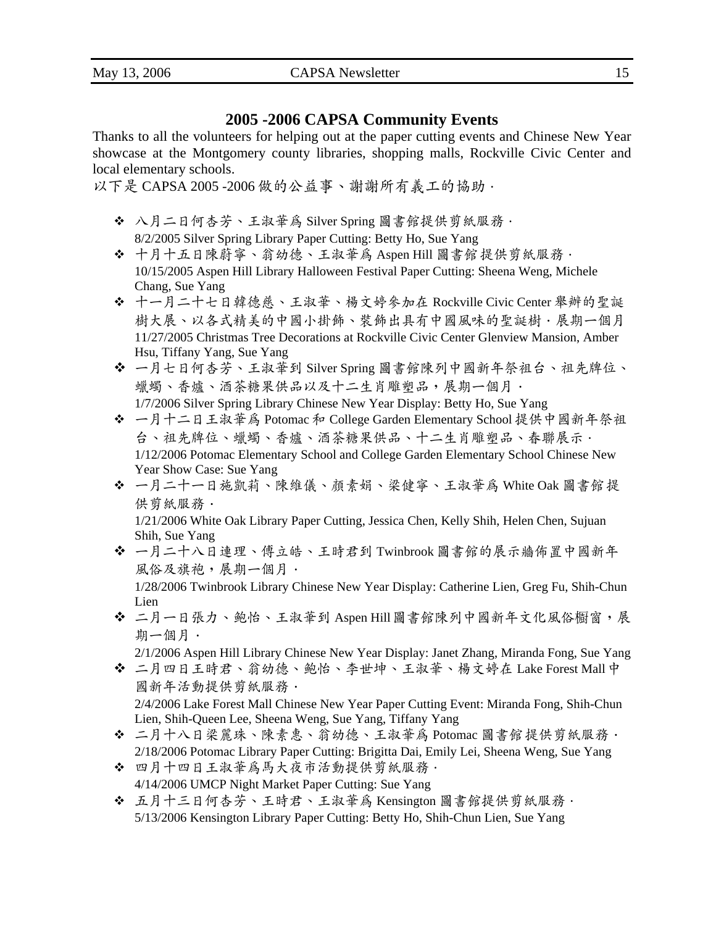### **2005 -2006 CAPSA Community Events**

Thanks to all the volunteers for helping out at the paper cutting events and Chinese New Year showcase at the Montgomery county libraries, shopping malls, Rockville Civic Center and local elementary schools.

以下是 CAPSA 2005 -2006 做的公益事、謝謝所有義工的協助.

- 八月二日何杏芳、王淑華為 Silver Spring 圖書館提供剪紙服務. 8/2/2005 Silver Spring Library Paper Cutting: Betty Ho, Sue Yang
- 十月十五日陳蔚寧、翁幼德、王淑華為 Aspen Hill 圖書館 提供剪紙服務. 10/15/2005 Aspen Hill Library Halloween Festival Paper Cutting: Sheena Weng, Michele Chang, Sue Yang
- 十一月二十七日韓德慈、王淑華、楊文婷參加在 Rockville Civic Center 舉辦的聖誕 樹大展、以各式精美的中國小掛飾、裝飾出具有中國風味的聖誕樹·展期一個月 11/27/2005 Christmas Tree Decorations at Rockville Civic Center Glenview Mansion, Amber Hsu, Tiffany Yang, Sue Yang
- 一月七日何杏芳、王淑華到 Silver Spring 圖書館陳列中國新年祭袓台、祖先牌位、 蠟蠋、香爐、酒茶糖果供品以及十二生肖雕塑品,展期一個月·
- 1/7/2006 Silver Spring Library Chinese New Year Display: Betty Ho, Sue Yang
- ◆ 一月十二日王淑華為 Potomac 和 College Garden Elementary School 提供中國新年祭祖 台、祖先牌位、蠟蠋、香爐、酒茶糖果供品、十二生肖雕塑品、春聯展示. 1/12/2006 Potomac Elementary School and College Garden Elementary School Chinese New Year Show Case: Sue Yang
- 一月二十一日施凱莉、陳維儀、顏素娟、梁健寧、王淑華為 White Oak 圖書館 提 供剪紙服務.

1/21/2006 White Oak Library Paper Cutting, Jessica Chen, Kelly Shih, Helen Chen, Sujuan Shih, Sue Yang

 一月二十八日連理、傅立皓、王時君到 Twinbrook 圖書館的展示牆佈置中國新年 風俗及旗袍,展期一個月 ·

1/28/2006 Twinbrook Library Chinese New Year Display: Catherine Lien, Greg Fu, Shih-Chun Lien

 二月一日張力、鲍怡、王淑華到 Aspen Hill 圖書館陳列中國新年文化風俗櫉窗,展 期一個月.

2/1/2006 Aspen Hill Library Chinese New Year Display: Janet Zhang, Miranda Fong, Sue Yang

- 二月四日王時君、翁幼德、鲍怡、李世坤、王淑華、楊文婷在 Lake Forest Mall 中 國新年活動提供剪紙服務. 2/4/2006 Lake Forest Mall Chinese New Year Paper Cutting Event: Miranda Fong, Shih-Chun
- Lien, Shih-Queen Lee, Sheena Weng, Sue Yang, Tiffany Yang ◆ 二月十八日梁麗珠、陳素惠、翁幼德、王淑華為 Potomac 圖書館提供剪紙服務.
- 2/18/2006 Potomac Library Paper Cutting: Brigitta Dai, Emily Lei, Sheena Weng, Sue Yang ◆ 四月十四日王淑華為馬大夜市活動提供剪紙服務。 4/14/2006 UMCP Night Market Paper Cutting: Sue Yang
- 五月十三日何杏芳、王時君、王淑華為 Kensington 圖書館提供剪紙服務. 5/13/2006 Kensington Library Paper Cutting: Betty Ho, Shih-Chun Lien, Sue Yang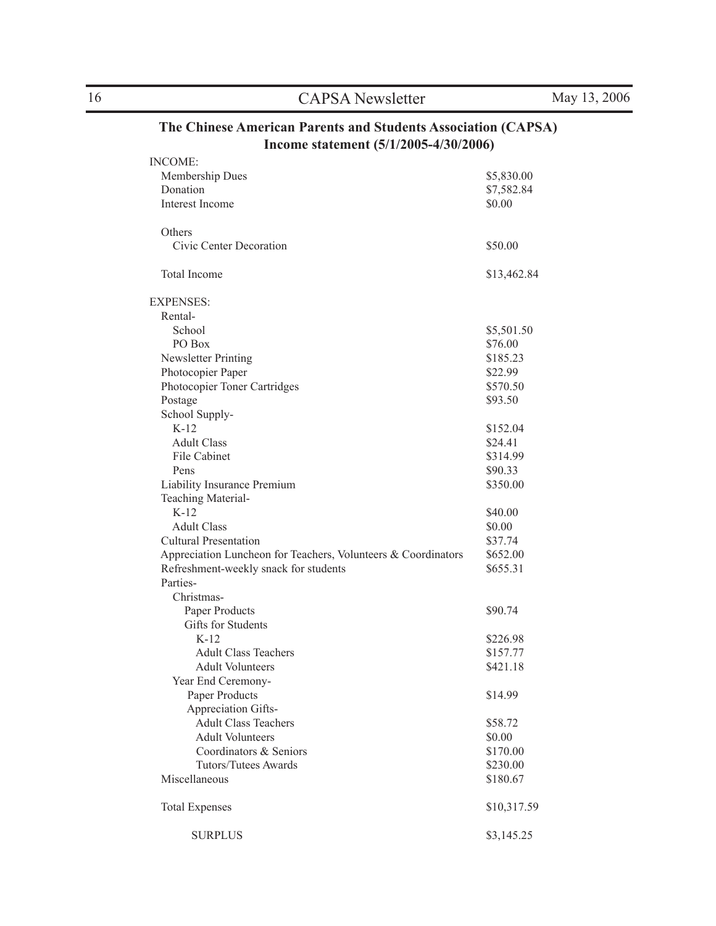16 CAPSA Newsletter May 13, 2006

### **The Chinese American Parents and Students Association (CAPSA) Income statement (5/1/2005-4/30/2006)**

| <b>INCOME:</b>                                                |             |
|---------------------------------------------------------------|-------------|
| Membership Dues                                               | \$5,830.00  |
| Donation                                                      | \$7,582.84  |
| Interest Income                                               | \$0.00      |
| Others                                                        |             |
| Civic Center Decoration                                       | \$50.00     |
| Total Income                                                  | \$13,462.84 |
| <b>EXPENSES:</b>                                              |             |
| Rental-                                                       |             |
| School                                                        | \$5,501.50  |
| PO Box                                                        | \$76.00     |
| Newsletter Printing                                           | \$185.23    |
| Photocopier Paper                                             | \$22.99     |
| Photocopier Toner Cartridges                                  | \$570.50    |
| Postage                                                       | \$93.50     |
| School Supply-                                                |             |
| $K-12$                                                        | \$152.04    |
| <b>Adult Class</b>                                            | \$24.41     |
| File Cabinet                                                  | \$314.99    |
| Pens                                                          | \$90.33     |
| Liability Insurance Premium                                   | \$350.00    |
| Teaching Material-                                            |             |
| $K-12$                                                        | \$40.00     |
| <b>Adult Class</b>                                            | \$0.00      |
| <b>Cultural Presentation</b>                                  | \$37.74     |
| Appreciation Luncheon for Teachers, Volunteers & Coordinators | \$652.00    |
| Refreshment-weekly snack for students                         | \$655.31    |
| Parties-                                                      |             |
| Christmas-                                                    |             |
| Paper Products                                                | \$90.74     |
| Gifts for Students                                            |             |
| $K-12$                                                        | \$226.98    |
| <b>Adult Class Teachers</b>                                   | \$157.77    |
| <b>Adult Volunteers</b>                                       | \$421.18    |
| Year End Ceremony-                                            |             |
| Paper Products                                                | \$14.99     |
| Appreciation Gifts-                                           |             |
| <b>Adult Class Teachers</b>                                   | \$58.72     |
| <b>Adult Volunteers</b>                                       | \$0.00      |
| Coordinators & Seniors                                        | \$170.00    |
| Tutors/Tutees Awards                                          | \$230.00    |
| Miscellaneous                                                 | \$180.67    |
| <b>Total Expenses</b>                                         | \$10,317.59 |
| <b>SURPLUS</b>                                                | \$3,145.25  |